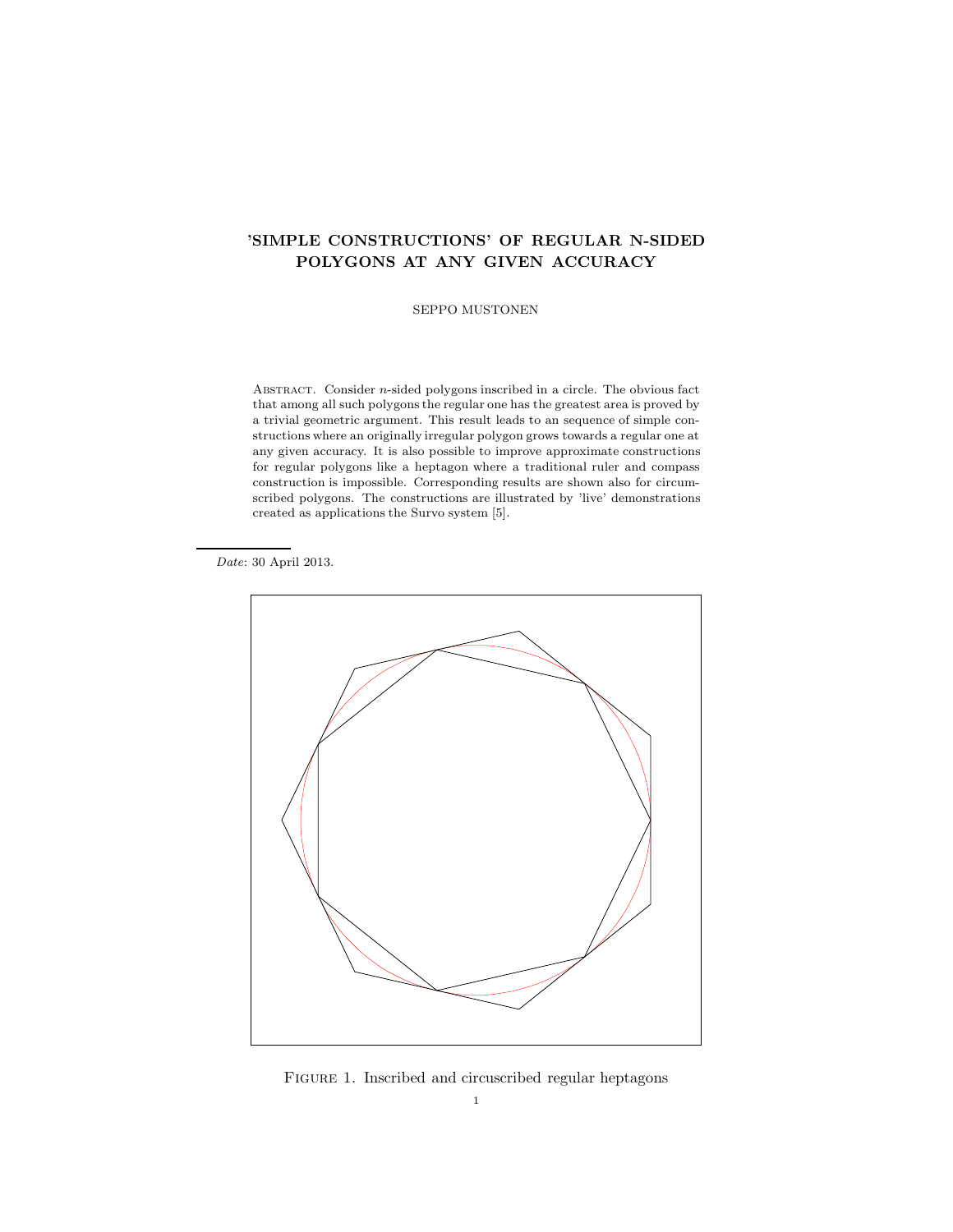# 'SIMPLE CONSTRUCTIONS' OF REGULAR N-SIDED POLYGONS AT ANY GIVEN ACCURACY

SEPPO MUSTONEN

ABSTRACT. Consider  $n$ -sided polygons inscribed in a circle. The obvious fact that among all such polygons the regular one has the greatest area is proved by a trivial geometric argument. This result leads to an sequence of simple constructions where an originally irregular polygon grows towards a regular one at any given accuracy. It is also possible to improve approximate constructions for regular polygons like a heptagon where a traditional ruler and compass construction is impossible. Corresponding results are shown also for circumscribed polygons. The constructions are illustrated by 'live' demonstrations created as applications the Survo system [5].

Date: 30 April 2013.



FIGURE 1. Inscribed and circuscribed regular heptagons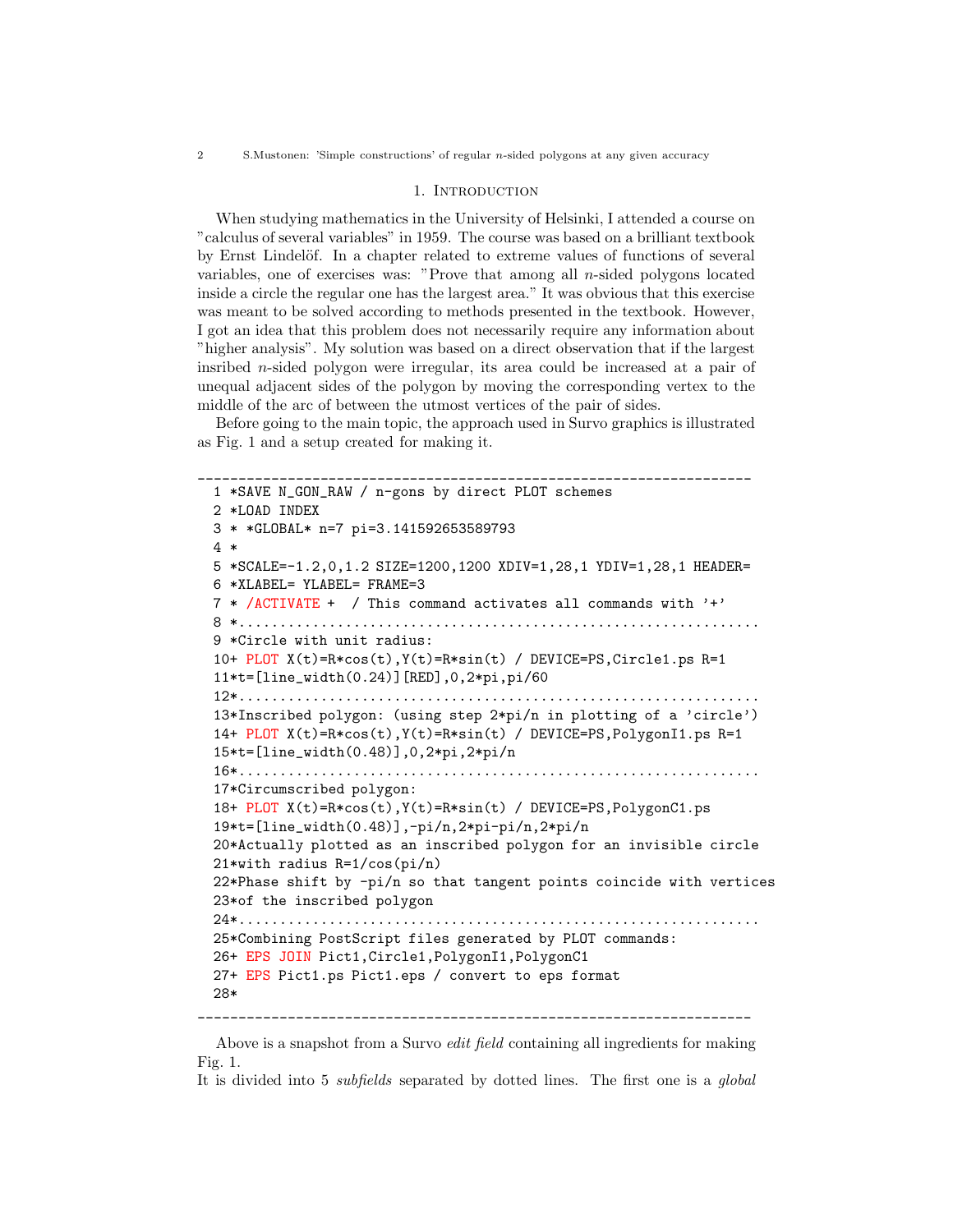### 1. INTRODUCTION

When studying mathematics in the University of Helsinki, I attended a course on "calculus of several variables" in 1959. The course was based on a brilliant textbook by Ernst Lindelöf. In a chapter related to extreme values of functions of several variables, one of exercises was: "Prove that among all  $n$ -sided polygons located inside a circle the regular one has the largest area." It was obvious that this exercise was meant to be solved according to methods presented in the textbook. However, I got an idea that this problem does not necessarily require any information about "higher analysis". My solution was based on a direct observation that if the largest insribed n-sided polygon were irregular, its area could be increased at a pair of unequal adjacent sides of the polygon by moving the corresponding vertex to the middle of the arc of between the utmost vertices of the pair of sides.

Before going to the main topic, the approach used in Survo graphics is illustrated as Fig. 1 and a setup created for making it.

```
____________________________________________________________________
 1 *SAVE N_GON_RAW / n-gons by direct PLOT schemes
 2 *LOAD INDEX
 3 * *GLOBAL* n=7 pi=3.141592653589793
 4 *
 5 *SCALE=-1.2,0,1.2 SIZE=1200,1200 XDIV=1,28,1 YDIV=1,28,1 HEADER=
 6 *XLABEL= YLABEL= FRAME=3
 7 * /ACTIVATE + / This command activates all commands with '+'
 8 *................................................................
 9 *Circle with unit radius:
 10+ PLOT X(t)=R*cos(t),Y(t)=R*sin(t) / DEVICE=PS,Circle1.ps R=1
 11*t=[line_width(0.24)][RED],0,2*pi,pi/60
 12*................................................................
 13*Inscribed polygon: (using step 2*pi/n in plotting of a 'circle')
 14+ PLOT X(t)=R*cos(t),Y(t)=R*sin(t) / DEVICE=PS,PolygonI1.ps R=1
 15*t=[line_width(0.48)],0,2*pi,2*pi/n
 16*................................................................
 17*Circumscribed polygon:
 18+ PLOT X(t)=R*cos(t),Y(t)=R*sin(t) / DEVICE=PS,PolygonC1.ps
 19*t=[line_width(0.48)],-pi/n,2*pi-pi/n,2*pi/n
 20*Actually plotted as an inscribed polygon for an invisible circle
 21*with radius R=1/cos(pi/n)
 22*Phase shift by -pi/n so that tangent points coincide with vertices
 23*of the inscribed polygon
 24*................................................................
 25*Combining PostScript files generated by PLOT commands:
 26+ EPS JOIN Pict1,Circle1,PolygonI1,PolygonC1
 27+ EPS Pict1.ps Pict1.eps / convert to eps format
 28*
```
Above is a snapshot from a Survo *edit field* containing all ingredients for making Fig. 1.

It is divided into 5 subfields separated by dotted lines. The first one is a global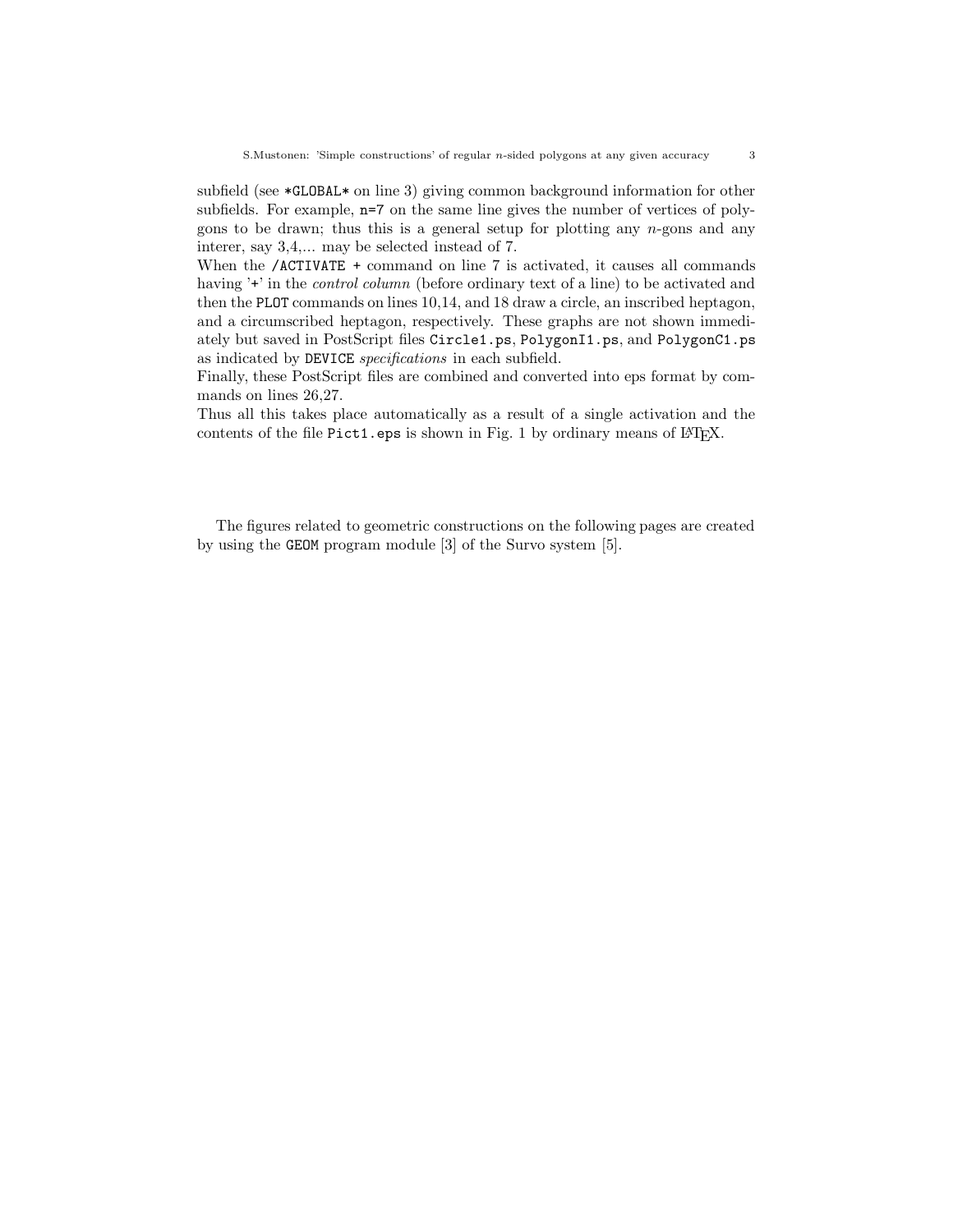subfield (see \*GLOBAL\* on line 3) giving common background information for other subfields. For example, n=7 on the same line gives the number of vertices of polygons to be drawn; thus this is a general setup for plotting any  $n$ -gons and any interer, say 3,4,... may be selected instead of 7.

When the /ACTIVATE + command on line 7 is activated, it causes all commands having '+' in the *control column* (before ordinary text of a line) to be activated and then the PLOT commands on lines 10,14, and 18 draw a circle, an inscribed heptagon, and a circumscribed heptagon, respectively. These graphs are not shown immediately but saved in PostScript files Circle1.ps, PolygonI1.ps, and PolygonC1.ps as indicated by DEVICE specifications in each subfield.

Finally, these PostScript files are combined and converted into eps format by commands on lines 26,27.

Thus all this takes place automatically as a result of a single activation and the contents of the file Pict1.eps is shown in Fig. 1 by ordinary means of LATEX.

The figures related to geometric constructions on the following pages are created by using the GEOM program module [3] of the Survo system [5].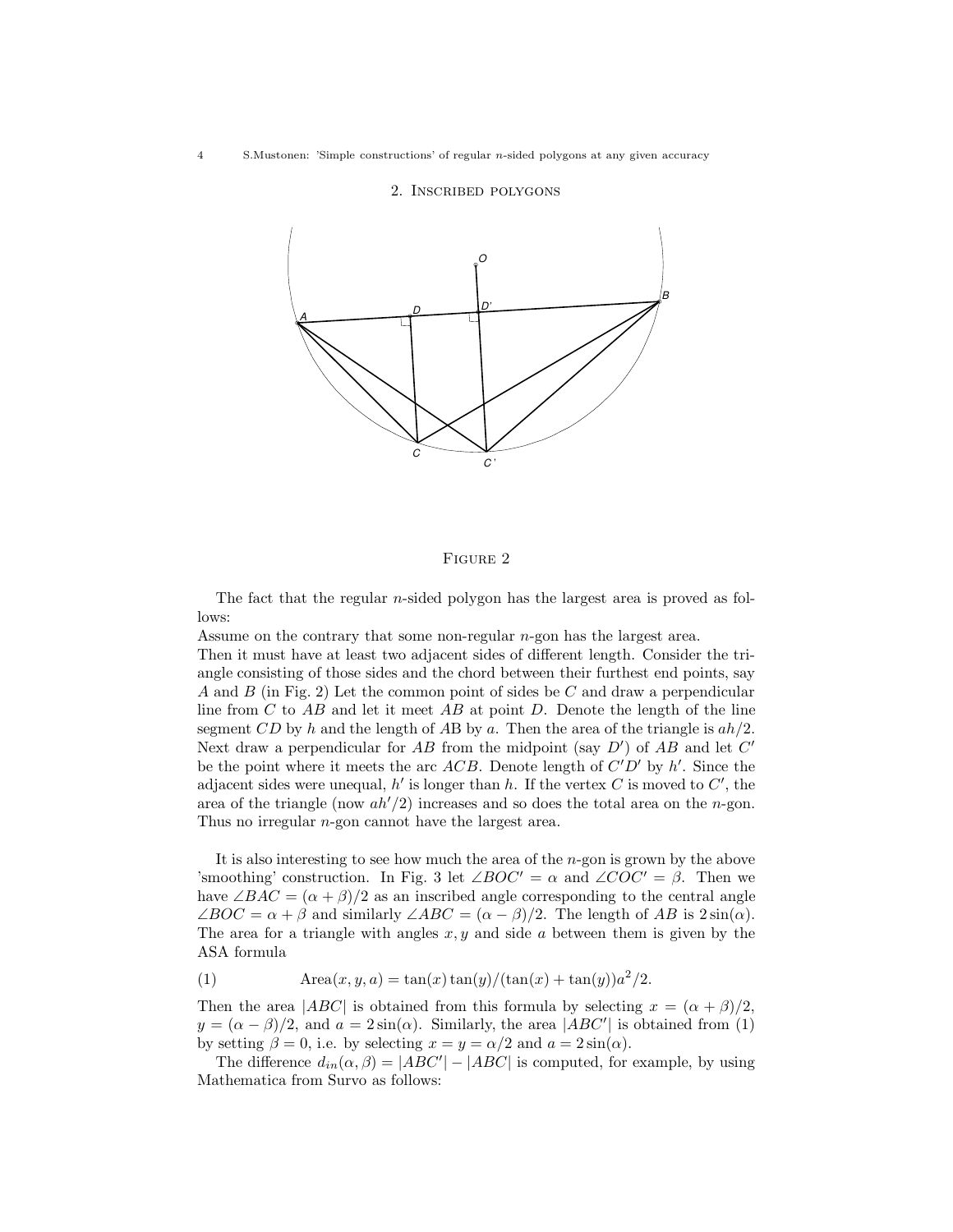## 2. Inscribed polygons



#### FIGURE 2

The fact that the regular *n*-sided polygon has the largest area is proved as follows:

Assume on the contrary that some non-regular n-gon has the largest area.

Then it must have at least two adjacent sides of different length. Consider the triangle consisting of those sides and the chord between their furthest end points, say A and B (in Fig. 2) Let the common point of sides be C and draw a perpendicular line from  $C$  to  $AB$  and let it meet  $AB$  at point  $D$ . Denote the length of the line segment CD by h and the length of AB by a. Then the area of the triangle is  $ah/2$ . Next draw a perpendicular for AB from the midpoint (say  $D'$ ) of AB and let  $C'$ be the point where it meets the arc ACB. Denote length of  $C'D'$  by h'. Since the adjacent sides were unequal,  $h'$  is longer than h. If the vertex C is moved to C', the area of the triangle (now  $ah'/2$ ) increases and so does the total area on the n-gon. Thus no irregular n-gon cannot have the largest area.

It is also interesting to see how much the area of the n-gon is grown by the above 'smoothing' construction. In Fig. 3 let  $\angle BOC' = \alpha$  and  $\angle COC' = \beta$ . Then we have  $\angle BAC = (\alpha + \beta)/2$  as an inscribed angle corresponding to the central angle  $\angle BOC = \alpha + \beta$  and similarly  $\angle ABC = (\alpha - \beta)/2$ . The length of AB is  $2\sin(\alpha)$ . The area for a triangle with angles  $x, y$  and side a between them is given by the ASA formula

(1) 
$$
\text{Area}(x, y, a) = \tan(x)\tan(y)/(\tan(x) + \tan(y))a^2/2.
$$

Then the area  $|ABC|$  is obtained from this formula by selecting  $x = (\alpha + \beta)/2$ ,  $y = (\alpha - \beta)/2$ , and  $a = 2\sin(\alpha)$ . Similarly, the area  $|ABC'|$  is obtained from (1) by setting  $\beta = 0$ , i.e. by selecting  $x = y = \alpha/2$  and  $a = 2\sin(\alpha)$ .

The difference  $d_{in}(\alpha, \beta) = |ABC'| - |ABC|$  is computed, for example, by using Mathematica from Survo as follows: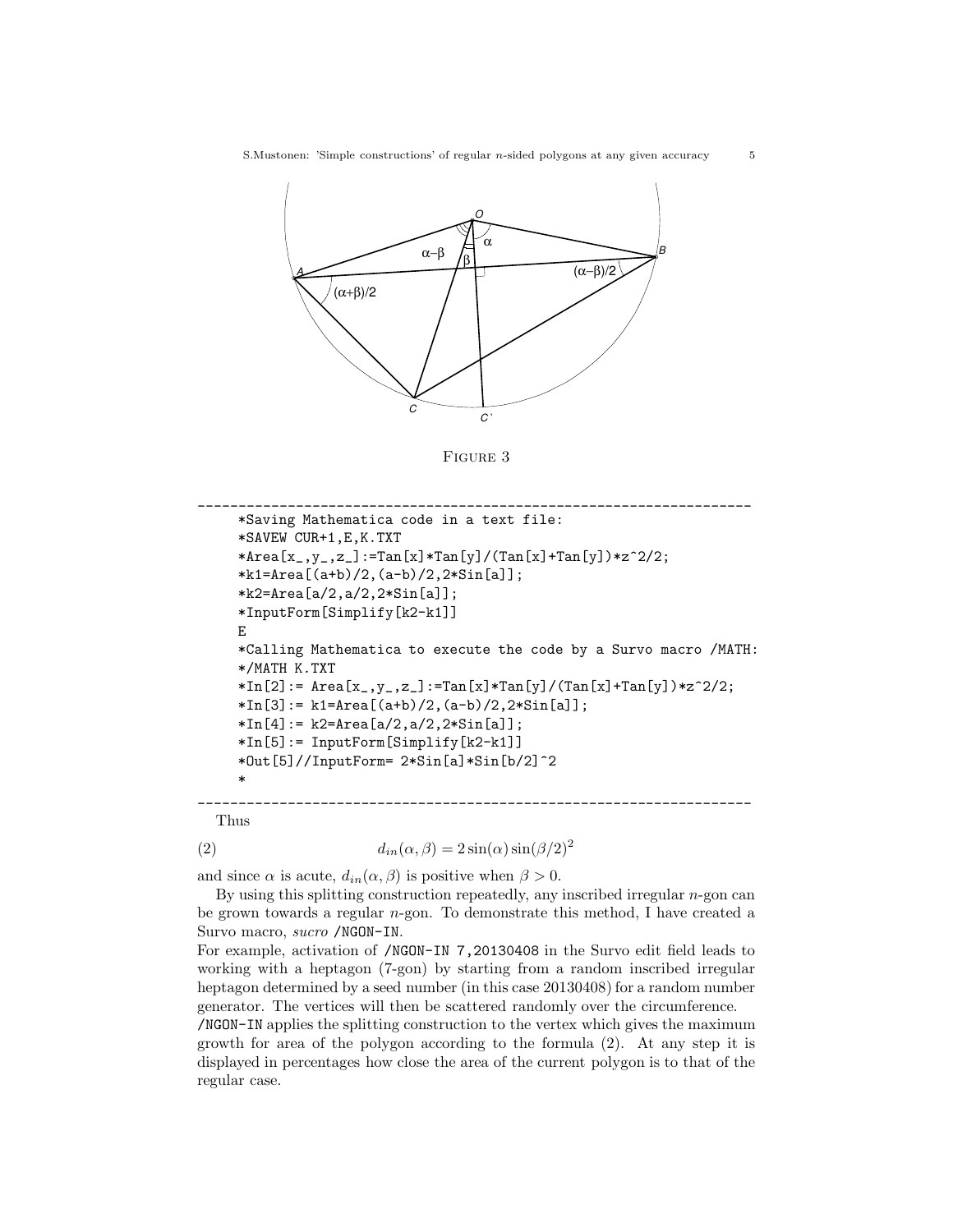

FIGURE 3

```
____________________________________________________________________
     *Saving Mathematica code in a text file:
     *SAVEW CUR+1,E,K.TXT
     *Area[x_,y_,z_]:=Tan[x]*Tan[y]/(Tan[x]+Tan[y])*z^2/2;
     *k1=Area[(a+b)/2,(a-b)/2,2*Sin[a];*k2=Area[a/2,a/2,2*Sin[a]];
     *InputForm[Simplify[k2-k1]]
    E
     *Calling Mathematica to execute the code by a Survo macro /MATH:
     */MATH K.TXT
     *In[2]: = Area[x_., y_., z_ :=Tan[x] *Tan[y]/(Tan[x] + Tan[y]) *z^2/2;*\ln[3]:= k1=Area[(a+b)/2,(a-b)/2,2*\sin[a];*In[4]: = k2=Area[a/2, a/2, 2*Sin[a]];*In[5]:= InputForm[Simplify[k2-k1]]
     *Out[5]//InputForm= 2*Sin[a]*Sin[b/2]^2
     *
____________________________________________________________________
```
Thus

(2) 
$$
d_{in}(\alpha, \beta) = 2\sin(\alpha)\sin(\beta/2)^2
$$

and since  $\alpha$  is acute,  $d_{in}(\alpha, \beta)$  is positive when  $\beta > 0$ .

By using this splitting construction repeatedly, any inscribed irregular  $n$ -gon can be grown towards a regular n-gon. To demonstrate this method, I have created a Survo macro, sucro /NGON-IN.

For example, activation of /NGON-IN 7,20130408 in the Survo edit field leads to working with a heptagon (7-gon) by starting from a random inscribed irregular heptagon determined by a seed number (in this case 20130408) for a random number generator. The vertices will then be scattered randomly over the circumference.

/NGON-IN applies the splitting construction to the vertex which gives the maximum growth for area of the polygon according to the formula (2). At any step it is displayed in percentages how close the area of the current polygon is to that of the regular case.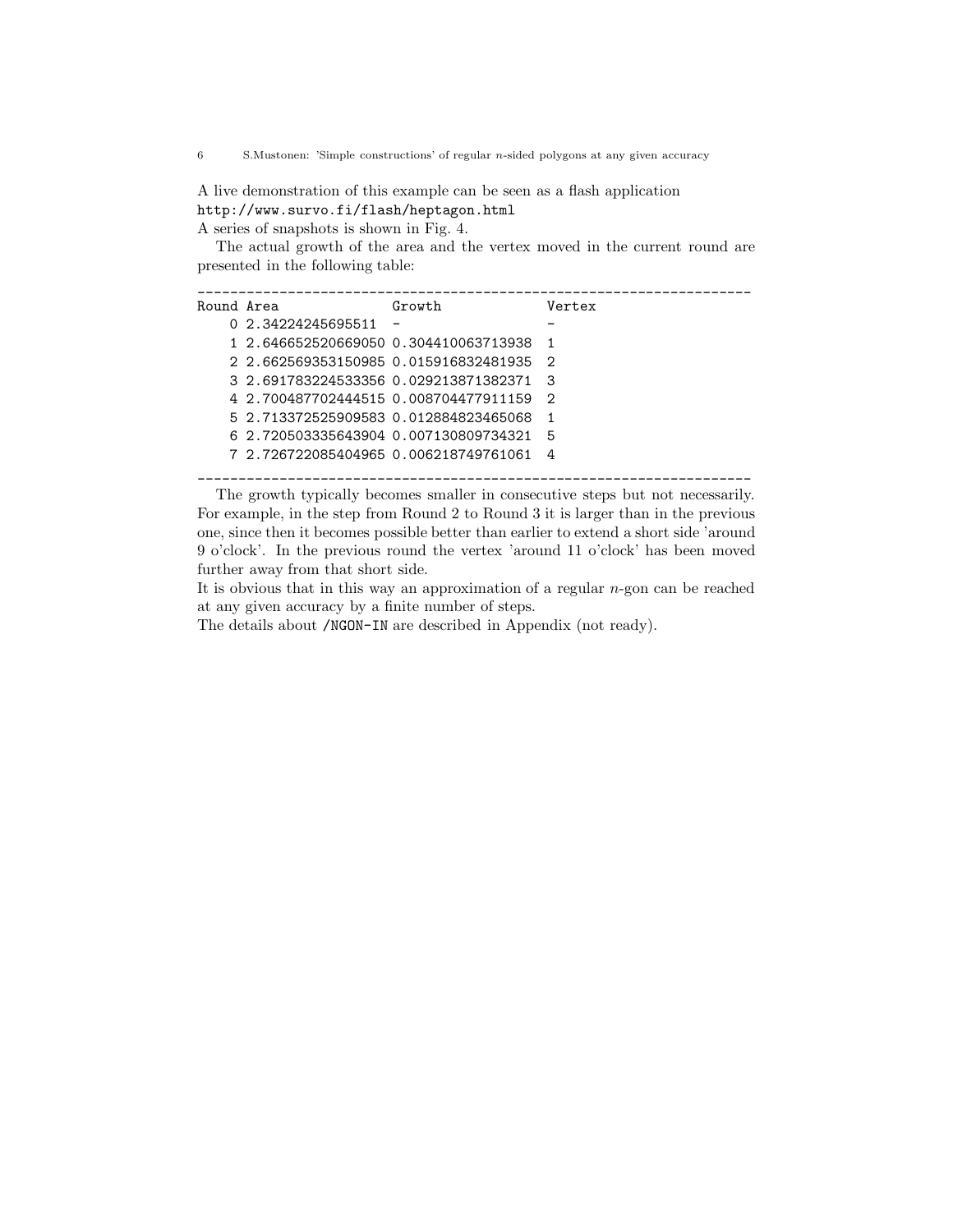6 S.Mustonen: 'Simple constructions' of regular n-sided polygons at any given accuracy

A live demonstration of this example can be seen as a flash application <http://www.survo.fi/flash/heptagon.html> A series of snapshots is shown in Fig. 4.

The actual growth of the area and the vertex moved in the current round are presented in the following table:

| Round Area |                                       | Growth                   | Vertex |
|------------|---------------------------------------|--------------------------|--------|
|            | 0 2.34224245695511                    | $\overline{\phantom{0}}$ |        |
|            | 1 2 646652520669050 0.304410063713938 |                          | - 1    |
|            | 2 2 662569353150985 0 015916832481935 |                          | - 2    |
|            | 3 2.691783224533356 0.029213871382371 |                          | ತಿ     |
|            | 4 2.700487702444515 0.008704477911159 |                          | - 2    |
|            | 5 2.713372525909583 0.012884823465068 |                          | -1     |
|            | 6 2.720503335643904 0.007130809734321 |                          | Б      |
|            | 7 2.726722085404965 0.006218749761061 |                          | 4      |
|            |                                       |                          |        |

The growth typically becomes smaller in consecutive steps but not necessarily. For example, in the step from Round 2 to Round 3 it is larger than in the previous one, since then it becomes possible better than earlier to extend a short side 'around 9 o'clock'. In the previous round the vertex 'around 11 o'clock' has been moved further away from that short side.

It is obvious that in this way an approximation of a regular  $n$ -gon can be reached at any given accuracy by a finite number of steps.

The details about /NGON-IN are described in Appendix (not ready).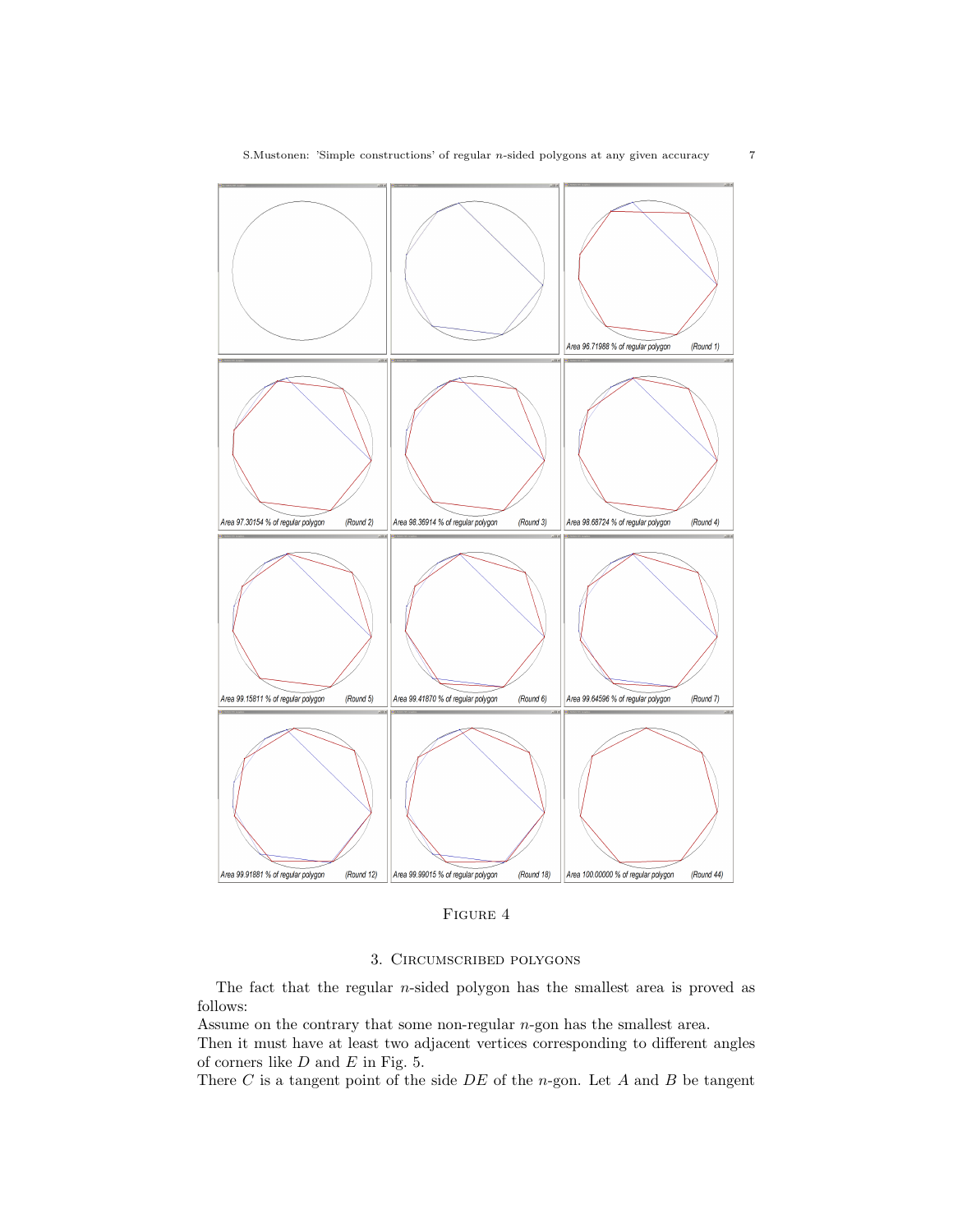



FIGURE 4

# 3. Circumscribed polygons

The fact that the regular n-sided polygon has the smallest area is proved as follows:

Assume on the contrary that some non-regular n-gon has the smallest area.

Then it must have at least two adjacent vertices corresponding to different angles of corners like  $D$  and  $E$  in Fig. 5.

There  $C$  is a tangent point of the side  $DE$  of the n-gon. Let  $A$  and  $B$  be tangent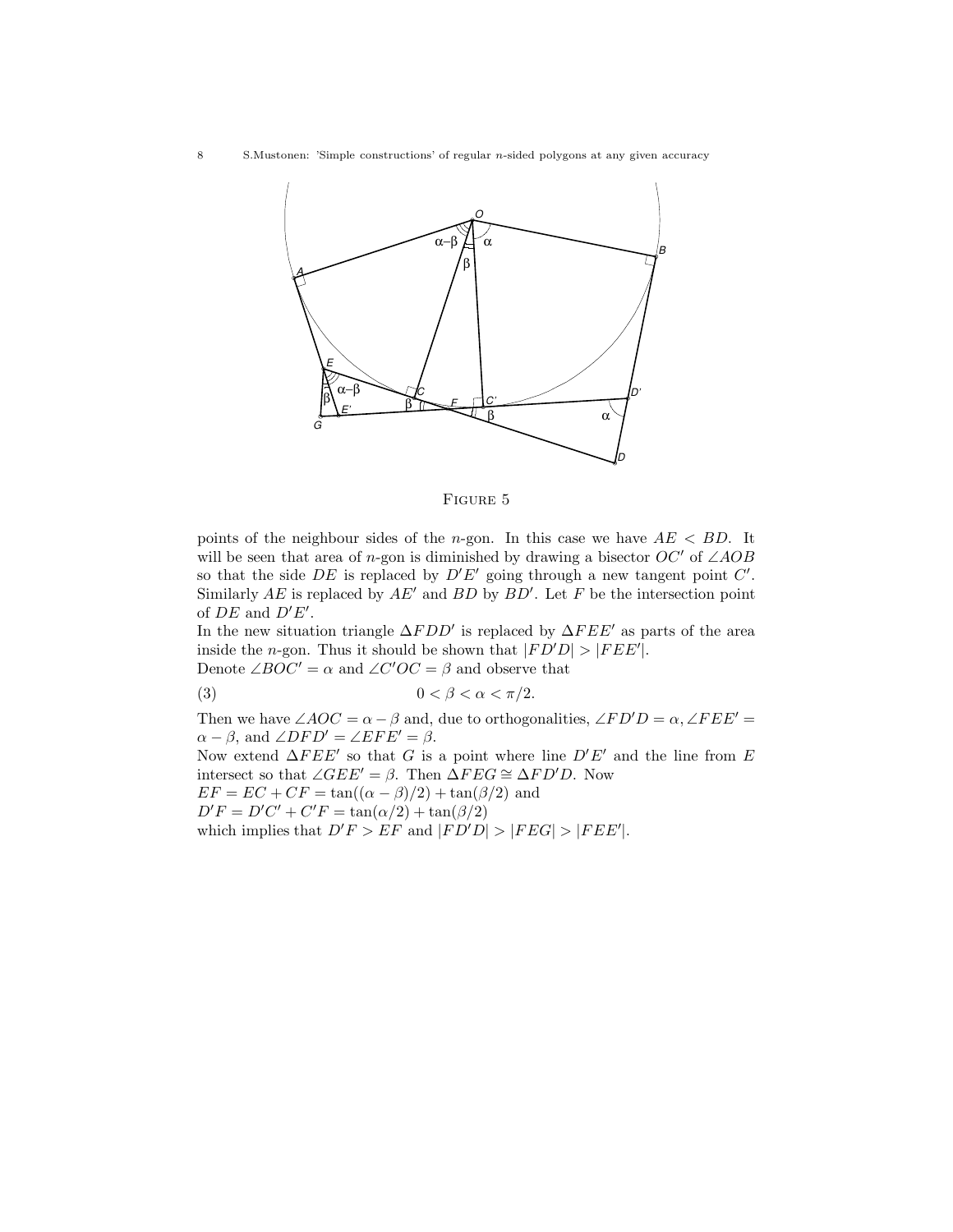8 S.Mustonen: 'Simple constructions' of regular n-sided polygons at any given accuracy



Figure 5

points of the neighbour sides of the *n*-gon. In this case we have  $AE < BD$ . It will be seen that area of n-gon is diminished by drawing a bisector  $OC'$  of ∠AOB so that the side DE is replaced by  $D'E'$  going through a new tangent point  $C'$ . Similarly AE is replaced by  $AE'$  and BD by  $BD'$ . Let F be the intersection point of  $DE$  and  $D'E'$ .

In the new situation triangle  $\Delta FDD'$  is replaced by  $\Delta FEE'$  as parts of the area inside the *n*-gon. Thus it should be shown that  $|FD'D| > |FEE'|$ . Denote  $\angle BOC' = \alpha$  and  $\angle C'OC = \beta$  and observe that

$$
(3) \t\t\t 0 < \beta < \alpha < \pi/2.
$$

Then we have  $\angle AOC = \alpha - \beta$  and, due to orthogonalities,  $\angle FD'D = \alpha, \angle FEE' =$  $\alpha - \beta$ , and  $\angle DFD' = \angle EFE' = \beta$ . Now extend  $\Delta F E E'$  so that G is a point where line  $D' E'$  and the line from E intersect so that  $\angle GEE' = \beta$ . Then  $\Delta FEG \cong \Delta FD'D$ . Now  $EF = EC + CF = \tan((\alpha - \beta)/2) + \tan(\beta/2)$  and  $D'F = D'C' + C'F = \tan(\alpha/2) + \tan(\beta/2)$ which implies that  $D'F > EF$  and  $|FD'D| > |FEG| > |FEE'|$ .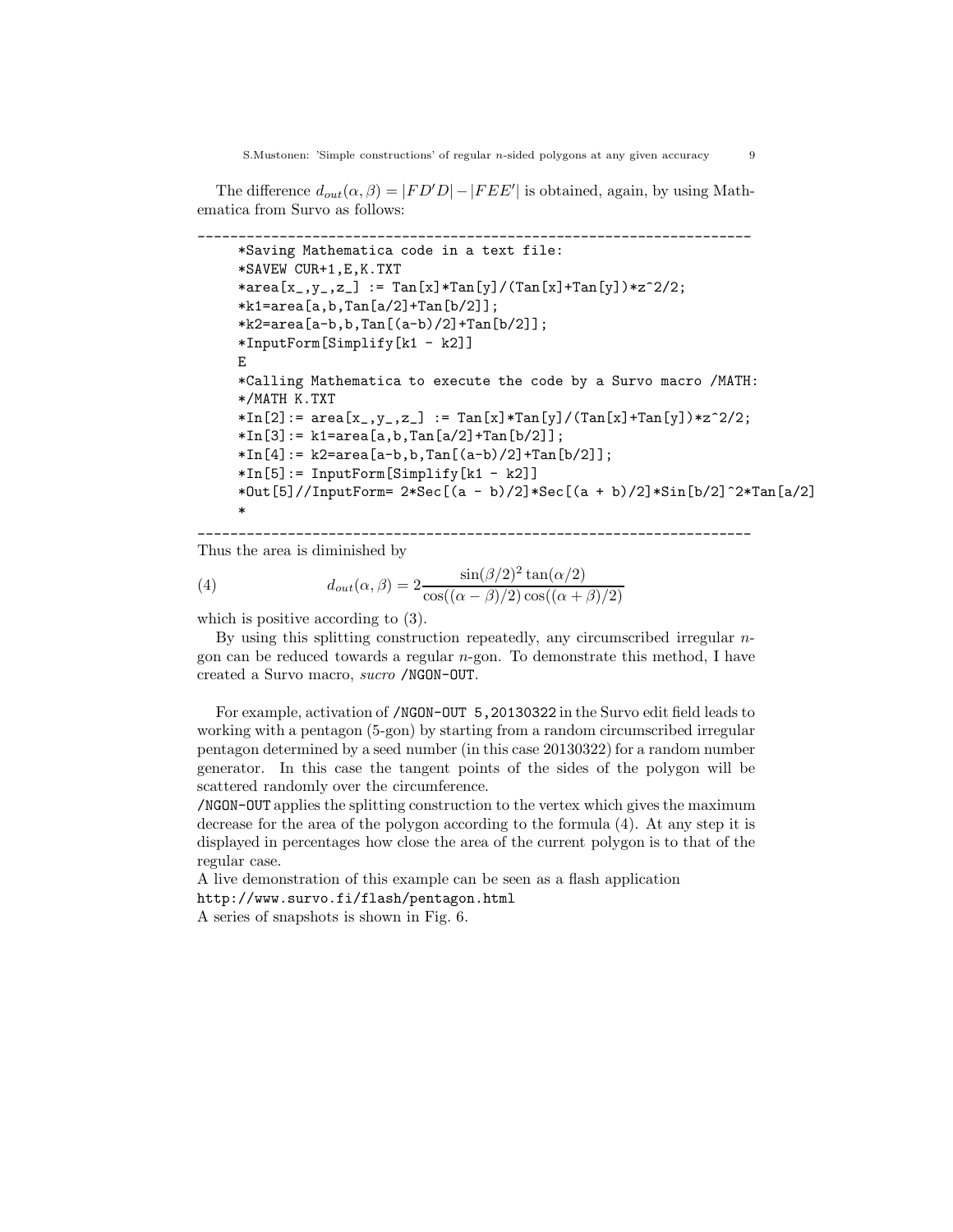The difference  $d_{out}(\alpha, \beta) = |FD'D| - |FEE'|$  is obtained, again, by using Mathematica from Survo as follows:

```
____________________________________________________________________
*Saving Mathematica code in a text file:
*SAVEW CUR+1,E,K.TXT
*area[x_,y_,z_] := Tan[x]*Tan[y]/(Tan[x]+Tan[y])*z^2/2;
*k1=area[a,b,Tan[a/2]+Tan[b/2]];
*k2=area[a-b,b,Tan[(a-b)/2]+Tan[b/2]];
*InputForm[Simplify[k1 - k2]]
E
*Calling Mathematica to execute the code by a Survo macro /MATH:
*/MATH K.TXT
*In[2]: = area[x_., y_., z_'] := Tan[x]*Tan[y]/(Tan[x]+Tan[y]) *z^2/2;*In[3]:= k1=area[a,b,Tan[a/2]+Tan[b/2]];
*In[4]: = k2 = area[a - b, b, Tan[(a - b)/2] + Tan[b/2];*In[5]:= InputForm[Simplify[k1 - k2]]
*Out[5]//InputForm= 2*Sec[(a - b)/2]*Sec[(a + b)/2]*Sin[b/2]^2*Tan[a/2]
*
```
\_\_\_\_\_\_\_\_\_\_\_\_\_\_\_\_\_\_\_\_\_\_\_\_\_\_\_\_\_\_\_\_\_\_\_\_\_\_\_\_\_\_\_\_\_\_\_\_\_\_\_\_\_\_\_\_\_\_\_\_\_\_\_\_\_\_\_\_

Thus the area is diminished by

(4) 
$$
d_{out}(\alpha, \beta) = 2 \frac{\sin(\beta/2)^2 \tan(\alpha/2)}{\cos((\alpha - \beta)/2)\cos((\alpha + \beta)/2)}
$$

which is positive according to  $(3)$ .

By using this splitting construction repeatedly, any circumscribed irregular ngon can be reduced towards a regular  $n$ -gon. To demonstrate this method, I have created a Survo macro, sucro /NGON-OUT.

For example, activation of /NGON-OUT 5,20130322 in the Survo edit field leads to working with a pentagon (5-gon) by starting from a random circumscribed irregular pentagon determined by a seed number (in this case  $20130322$ ) for a random number generator. In this case the tangent points of the sides of the polygon will be scattered randomly over the circumference.

/NGON-OUT applies the splitting construction to the vertex which gives the maximum decrease for the area of the polygon according to the formula (4). At any step it is displayed in percentages how close the area of the current polygon is to that of the regular case.

A live demonstration of this example can be seen as a flash application <http://www.survo.fi/flash/pentagon.html>

A series of snapshots is shown in Fig. 6.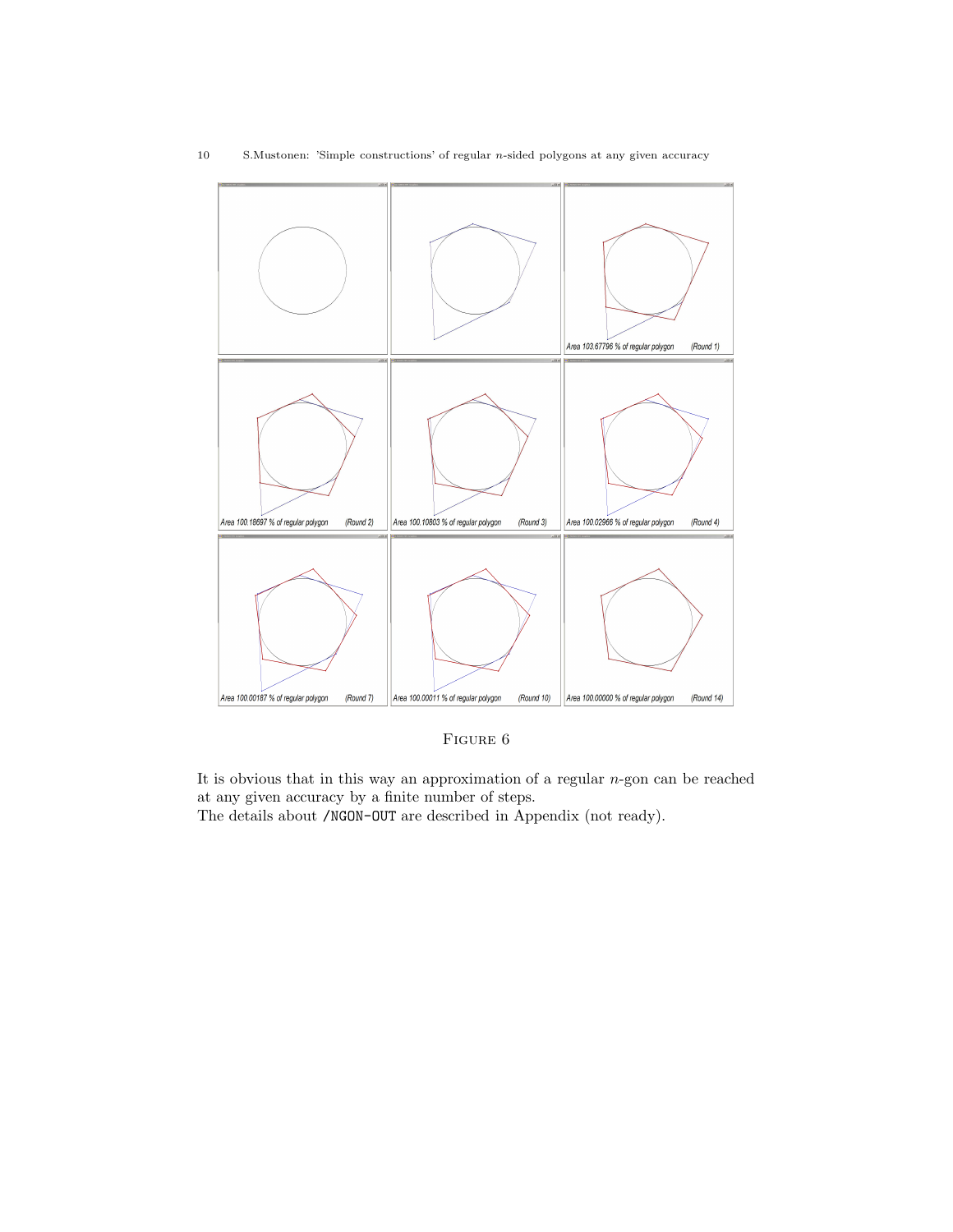

FIGURE 6

It is obvious that in this way an approximation of a regular  $n$ -gon can be reached at any given accuracy by a finite number of steps.

The details about /NGON-OUT are described in Appendix (not ready).

### 10 S.Mustonen: 'Simple constructions' of regular n-sided polygons at any given accuracy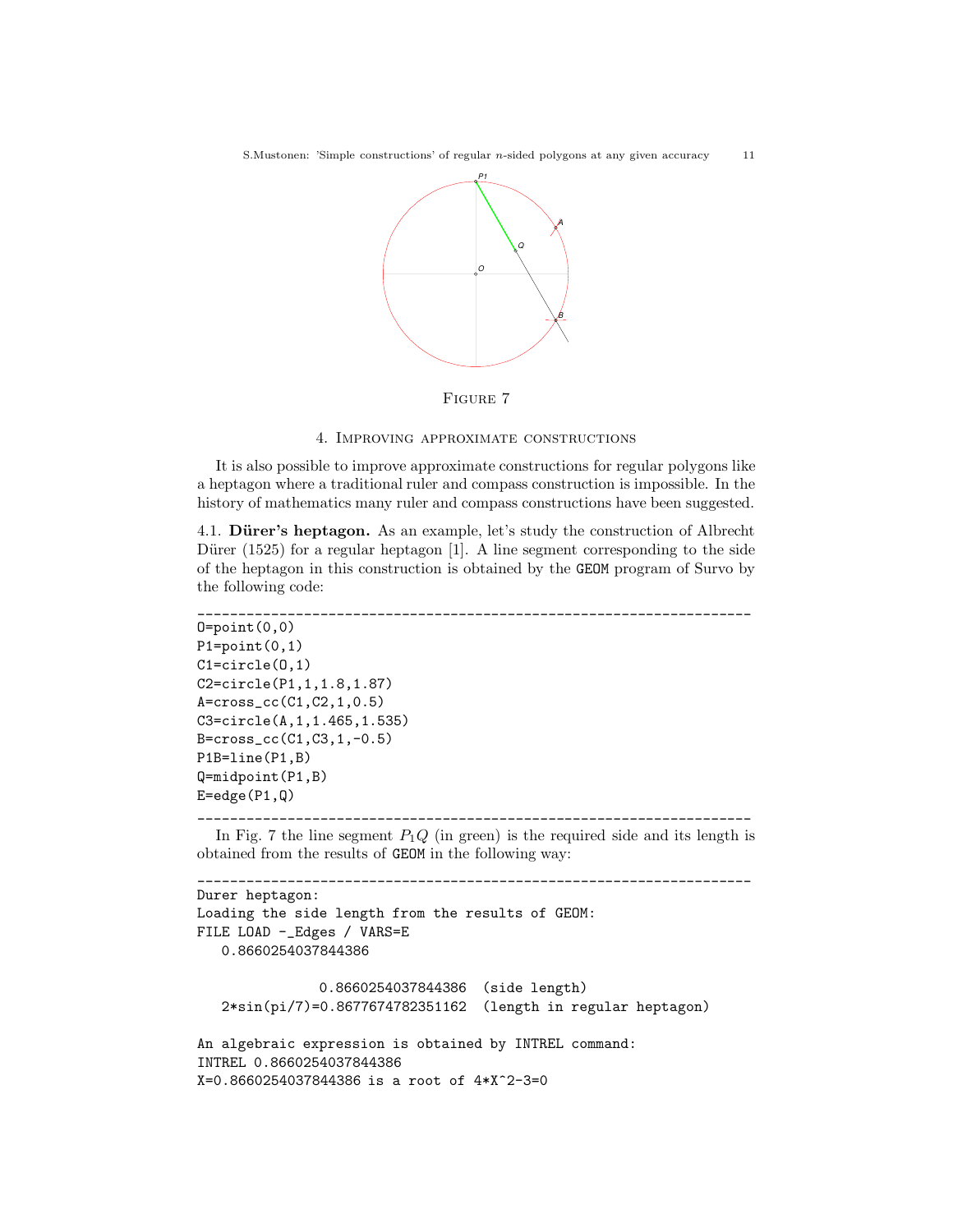S.Mustonen: 'Simple constructions' of regular n-sided polygons at any given accuracy 11



Figure 7

### 4. Improving approximate constructions

It is also possible to improve approximate constructions for regular polygons like a heptagon where a traditional ruler and compass construction is impossible. In the history of mathematics many ruler and compass constructions have been suggested.

4.1. Dürer's heptagon. As an example, let's study the construction of Albrecht Dürer (1525) for a regular heptagon  $[1]$ . A line segment corresponding to the side of the heptagon in this construction is obtained by the GEOM program of Survo by the following code:

```
____________________________________________________________________
0 = point(0,0)P1=point(0,1)C1=circle(O,1)
C2=circle(P1,1,1.8,1.87)
A=cross_cc(C1,C2,1,0.5)
C3=circle(A,1,1.465,1.535)
B=cross_cc(C1,C3,1,-0.5)
P1B=line(P1,B)
Q=midpoint(P1,B)
E=edge(P1,Q)____________________________________________________________________
```
In Fig. 7 the line segment  $P_1Q$  (in green) is the required side and its length is obtained from the results of GEOM in the following way:

```
____________________________________________________________________
Durer heptagon:
Loading the side length from the results of GEOM:
FILE LOAD -_Edges / VARS=E
   0.8660254037844386
               0.8660254037844386 (side length)
   2*sin(pi/7)=0.8677674782351162 (length in regular heptagon)
An algebraic expression is obtained by INTREL command:
INTREL 0.8660254037844386
X=0.8660254037844386 is a root of 4*X^2-3=0
```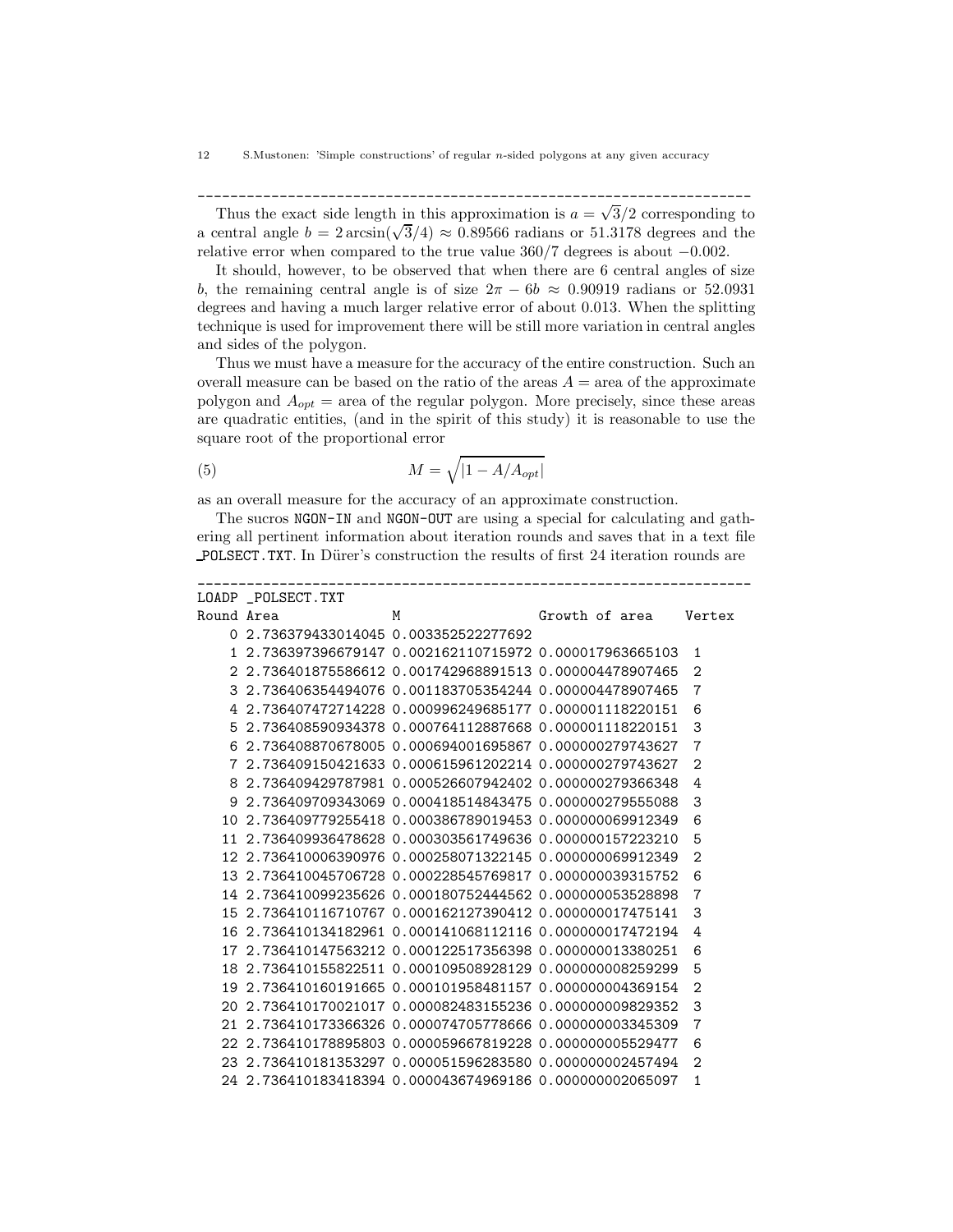Thus the exact side length in this approximation is  $a = \sqrt{3}/2$  corresponding to a central angle  $b = 2 \arcsin(\sqrt{3}/4) \approx 0.89566$  radians or 51.3178 degrees and the relative error when compared to the true value 360/7 degrees is about −0.002.

\_\_\_\_\_\_\_\_\_\_\_\_\_\_\_\_\_\_\_\_\_\_\_\_\_\_\_\_\_\_\_\_\_\_\_\_\_\_\_\_\_\_\_\_\_\_\_\_\_\_\_\_\_\_\_\_\_\_\_\_\_\_\_\_\_\_\_\_

It should, however, to be observed that when there are 6 central angles of size b, the remaining central angle is of size  $2\pi - 6b \approx 0.90919$  radians or 52.0931 degrees and having a much larger relative error of about 0.013. When the splitting technique is used for improvement there will be still more variation in central angles and sides of the polygon.

Thus we must have a measure for the accuracy of the entire construction. Such an overall measure can be based on the ratio of the areas  $A = \text{area of the approximate}$ polygon and  $A_{opt}$  = area of the regular polygon. More precisely, since these areas are quadratic entities, (and in the spirit of this study) it is reasonable to use the square root of the proportional error

$$
(5) \t\t\t M = \sqrt{|1 - A/A_{opt}|}
$$

as an overall measure for the accuracy of an approximate construction.

The sucros NGON-IN and NGON-OUT are using a special for calculating and gathering all pertinent information about iteration rounds and saves that in a text file POLSECT.TXT. In Dürer's construction the results of first 24 iteration rounds are

|            | LOADP POLSECT.TXT                                         |                                                         |                |                |
|------------|-----------------------------------------------------------|---------------------------------------------------------|----------------|----------------|
| Round Area |                                                           | M                                                       | Growth of area | Vertex         |
|            | 0 2.736379433014045 0.003352522277692                     |                                                         |                |                |
|            | 1 2.736397396679147 0.002162110715972 0.000017963665103   |                                                         |                | $\mathbf{1}$   |
|            | 2 2.736401875586612 0.001742968891513 0.000004478907465   |                                                         |                | $\overline{2}$ |
| 3          | 2.736406354494076  0.001183705354244  0.000004478907465   |                                                         |                | 7              |
| 4          |                                                           | 2.736407472714228 0.000996249685177 0.000001118220151   |                | 6              |
| 5          | 2.736408590934378  0.000764112887668  0.000001118220151   |                                                         |                | 3              |
| 6          | 2.736408870678005  0.000694001695867  0.000000279743627   |                                                         |                | 7              |
| 7          |                                                           | 2.736409150421633 0.000615961202214 0.000000279743627   |                | $\overline{2}$ |
| 8          | 2.736409429787981  0.000526607942402  0.000000279366348   |                                                         |                | 4              |
| 9          |                                                           | 2.736409709343069  0.000418514843475  0.000000279555088 |                | 3              |
| 10         | 2.736409779255418  0.000386789019453  0.000000069912349   |                                                         |                | 6              |
| 11         | 2.736409936478628 0.000303561749636 0.000000157223210     |                                                         |                | 5              |
|            | 12 2.736410006390976 0.000258071322145 0.000000069912349  |                                                         |                | $\overline{2}$ |
| 13         | 2.736410045706728 0.000228545769817 0.000000039315752     |                                                         |                | 6              |
|            | 14 2.736410099235626 0.000180752444562 0.000000053528898  |                                                         |                | 7              |
|            | 15 2.736410116710767 0.000162127390412 0.000000017475141  |                                                         |                | 3              |
| 16         | 2.736410134182961  0.000141068112116  0.000000017472194   |                                                         |                | 4              |
| 17         |                                                           | 2.736410147563212 0.000122517356398 0.000000013380251   |                | 6              |
|            |                                                           |                                                         |                | 5              |
| 19         |                                                           | 2.736410160191665  0.000101958481157  0.000000004369154 |                | $\overline{2}$ |
| 20         |                                                           | 2.736410170021017 0.000082483155236 0.000000009829352   |                | 3              |
| 21         | 2.736410173366326   0.000074705778666   0.000000003345309 |                                                         |                | 7              |
| 22         |                                                           | 2.736410178895803 0.000059667819228 0.000000005529477   |                | 6              |
|            | 23 2.736410181353297 0.000051596283580 0.000000002457494  |                                                         |                | 2              |
|            |                                                           |                                                         |                | 1              |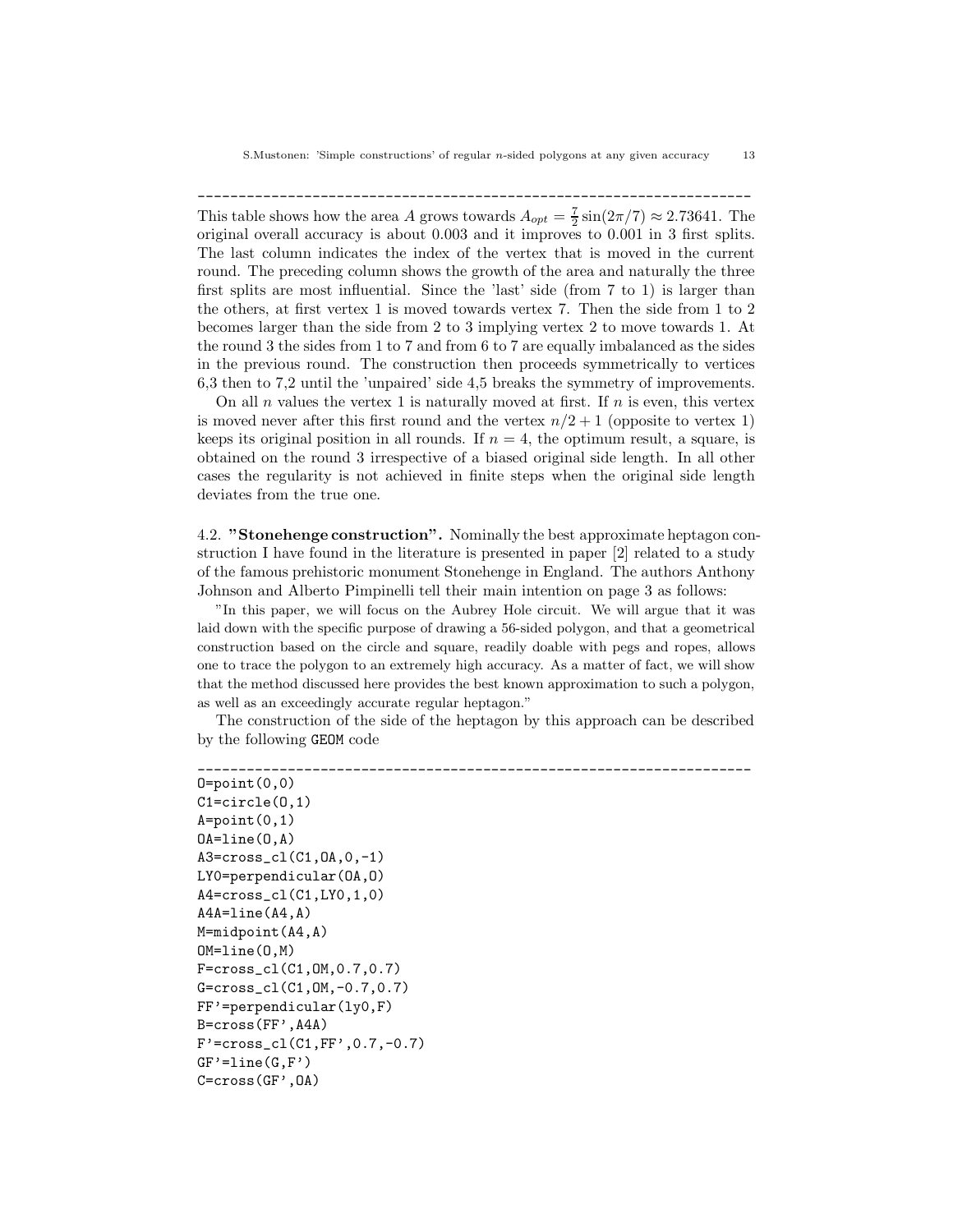\_\_\_\_\_\_\_\_\_\_\_\_\_\_\_\_\_\_\_\_\_\_\_\_\_\_\_\_\_\_\_\_\_\_\_\_\_\_\_\_\_\_\_\_\_\_\_\_\_\_\_\_\_\_\_\_\_\_\_\_\_\_\_\_\_\_\_\_ This table shows how the area A grows towards  $A_{opt} = \frac{7}{2} \sin(2\pi/7) \approx 2.73641$ . The original overall accuracy is about 0.003 and it improves to 0.001 in 3 first splits. The last column indicates the index of the vertex that is moved in the current round. The preceding column shows the growth of the area and naturally the three first splits are most influential. Since the 'last' side (from 7 to 1) is larger than the others, at first vertex 1 is moved towards vertex 7. Then the side from 1 to 2 becomes larger than the side from 2 to 3 implying vertex 2 to move towards 1. At the round 3 the sides from 1 to 7 and from 6 to 7 are equally imbalanced as the sides in the previous round. The construction then proceeds symmetrically to vertices 6,3 then to 7,2 until the 'unpaired' side 4,5 breaks the symmetry of improvements.

On all n values the vertex 1 is naturally moved at first. If  $n$  is even, this vertex is moved never after this first round and the vertex  $n/2 + 1$  (opposite to vertex 1) keeps its original position in all rounds. If  $n = 4$ , the optimum result, a square, is obtained on the round 3 irrespective of a biased original side length. In all other cases the regularity is not achieved in finite steps when the original side length deviates from the true one.

4.2. "Stonehenge construction". Nominally the best approximate heptagon construction I have found in the literature is presented in paper [2] related to a study of the famous prehistoric monument Stonehenge in England. The authors Anthony Johnson and Alberto Pimpinelli tell their main intention on page 3 as follows:

"In this paper, we will focus on the Aubrey Hole circuit. We will argue that it was laid down with the specific purpose of drawing a 56-sided polygon, and that a geometrical construction based on the circle and square, readily doable with pegs and ropes, allows one to trace the polygon to an extremely high accuracy. As a matter of fact, we will show that the method discussed here provides the best known approximation to such a polygon, as well as an exceedingly accurate regular heptagon."

The construction of the side of the heptagon by this approach can be described by the following GEOM code

```
____________________________________________________________________
0 = point(0,0)C1=circle(O,1)
A = point(0,1)OA=line(O,A)
A3=cross_cl(C1,OA,0,-1)
LY0=perpendicular(OA,O)
A4=cross_cl(C1,LY0,1,0)
A4A=line(A4,A)
M=midpoint(A4,A)
OM=line(O,M)
F=cross_cl(C1,OM,0.7,0.7)
G=cross_cl(C1,OM,-0.7,0.7)
FF'=perpendicular(ly0,F)
B=cross(FF',A4A)
F'=cross_cl(C1,FF',0.7,-0.7)
GF' = line(G, F')C=cross(GF',OA)
```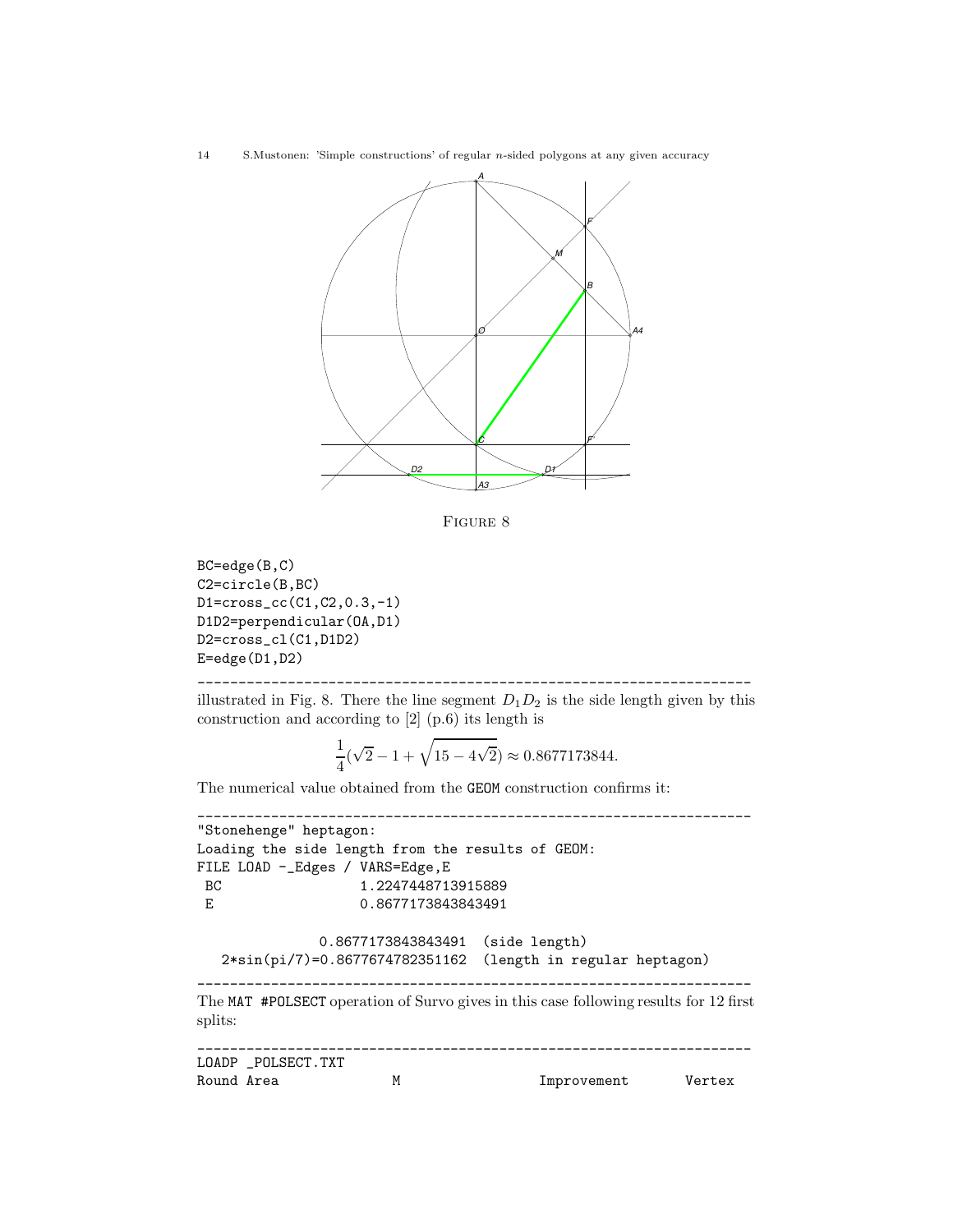14 S.Mustonen: 'Simple constructions' of regular n-sided polygons at any given accuracy



Figure 8

```
BC=edge(B,C)
C2=circle(B,BC)
D1=cross_cc(C1,C2,0.3,-1)
D1D2=perpendicular(OA,D1)
D2=cross_cl(C1,D1D2)
E=edge(D1,D2)
```
illustrated in Fig. 8. There the line segment  $D_1D_2$  is the side length given by this construction and according to [2] (p.6) its length is

$$
\frac{1}{4}(\sqrt{2} - 1 + \sqrt{15 - 4\sqrt{2}}) \approx 0.8677173844.
$$

The numerical value obtained from the GEOM construction confirms it:

\_\_\_\_\_\_\_\_\_\_\_\_\_\_\_\_\_\_\_\_\_\_\_\_\_\_\_\_\_\_\_\_\_\_\_\_\_\_\_\_\_\_\_\_\_\_\_\_\_\_\_\_\_\_\_\_\_\_\_\_\_\_\_\_\_\_\_\_

```
____________________________________________________________________
"Stonehenge" heptagon:
Loading the side length from the results of GEOM:
FILE LOAD -_Edges / VARS=Edge,E
BC 1.2247448713915889
E 0.8677173843843491
              0.8677173843843491 (side length)
  2*sin(pi/7)=0.8677674782351162 (length in regular heptagon)
____________________________________________________________________
The MAT #POLSECT operation of Survo gives in this case following results for 12 first
splits:
____________________________________________________________________
LOADP _POLSECT.TXT
Round Area M M Improvement Vertex
```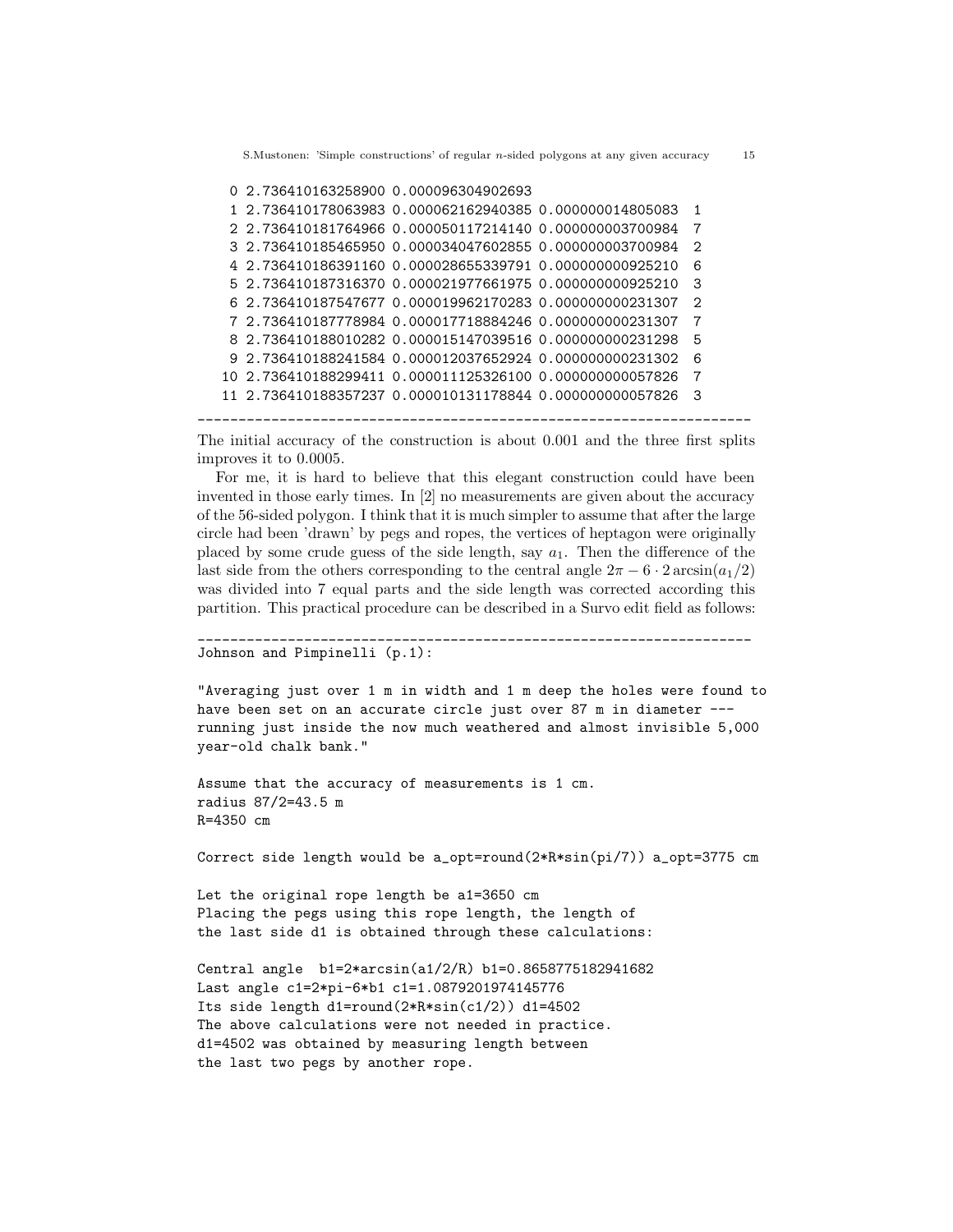```
0 2.736410163258900 0.000096304902693
```

```
1 2.736410178063983 0.000062162940385 0.000000014805083 1
2 2.736410181764966 0.000050117214140 0.000000003700984 7
3 2.736410185465950 0.000034047602855 0.000000003700984 2
4 2.736410186391160 0.000028655339791 0.000000000925210 6
5 2.736410187316370 0.000021977661975 0.000000000925210 3
6 2.736410187547677 0.000019962170283 0.000000000231307 2
7 2.736410187778984 0.000017718884246 0.000000000231307 7
8 2.736410188010282 0.000015147039516 0.000000000231298 5
9 2.736410188241584 0.000012037652924 0.000000000231302 6
10 2.736410188299411 0.000011125326100 0.000000000057826 7
11 2.736410188357237 0.000010131178844 0.000000000057826 3
```
\_\_\_\_\_\_\_\_\_\_\_\_\_\_\_\_\_\_\_\_\_\_\_\_\_\_\_\_\_\_\_\_\_\_\_\_\_\_\_\_\_\_\_\_\_\_\_\_\_\_\_\_\_\_\_\_\_\_\_\_\_\_\_\_\_\_\_\_

The initial accuracy of the construction is about 0.001 and the three first splits improves it to 0.0005.

For me, it is hard to believe that this elegant construction could have been invented in those early times. In [2] no measurements are given about the accuracy of the 56-sided polygon. I think that it is much simpler to assume that after the large circle had been 'drawn' by pegs and ropes, the vertices of heptagon were originally placed by some crude guess of the side length, say  $a_1$ . Then the difference of the last side from the others corresponding to the central angle  $2\pi - 6 \cdot 2 \arcsin(a_1/2)$ was divided into 7 equal parts and the side length was corrected according this partition. This practical procedure can be described in a Survo edit field as follows:

```
____________________________________________________________________
Johnson and Pimpinelli (p.1):
```
"Averaging just over 1 m in width and 1 m deep the holes were found to have been set on an accurate circle just over 87 m in diameter -- running just inside the now much weathered and almost invisible 5,000 year-old chalk bank."

```
Assume that the accuracy of measurements is 1 cm.
radius 87/2=43.5 m
R=4350 cm
```
Correct side length would be a\_opt=round( $2*R*sin(pi/7)$ ) a\_opt=3775 cm

```
Let the original rope length be a1=3650 cm
Placing the pegs using this rope length, the length of
the last side d1 is obtained through these calculations:
```

```
Central angle b1=2*arcsin(a1/2/R) b1=0.8658775182941682
Last angle c1=2*pi-6*b1 c1=1.0879201974145776
Its side length d1=round(2*R*sin(c1/2)) d1=4502
The above calculations were not needed in practice.
d1=4502 was obtained by measuring length between
the last two pegs by another rope.
```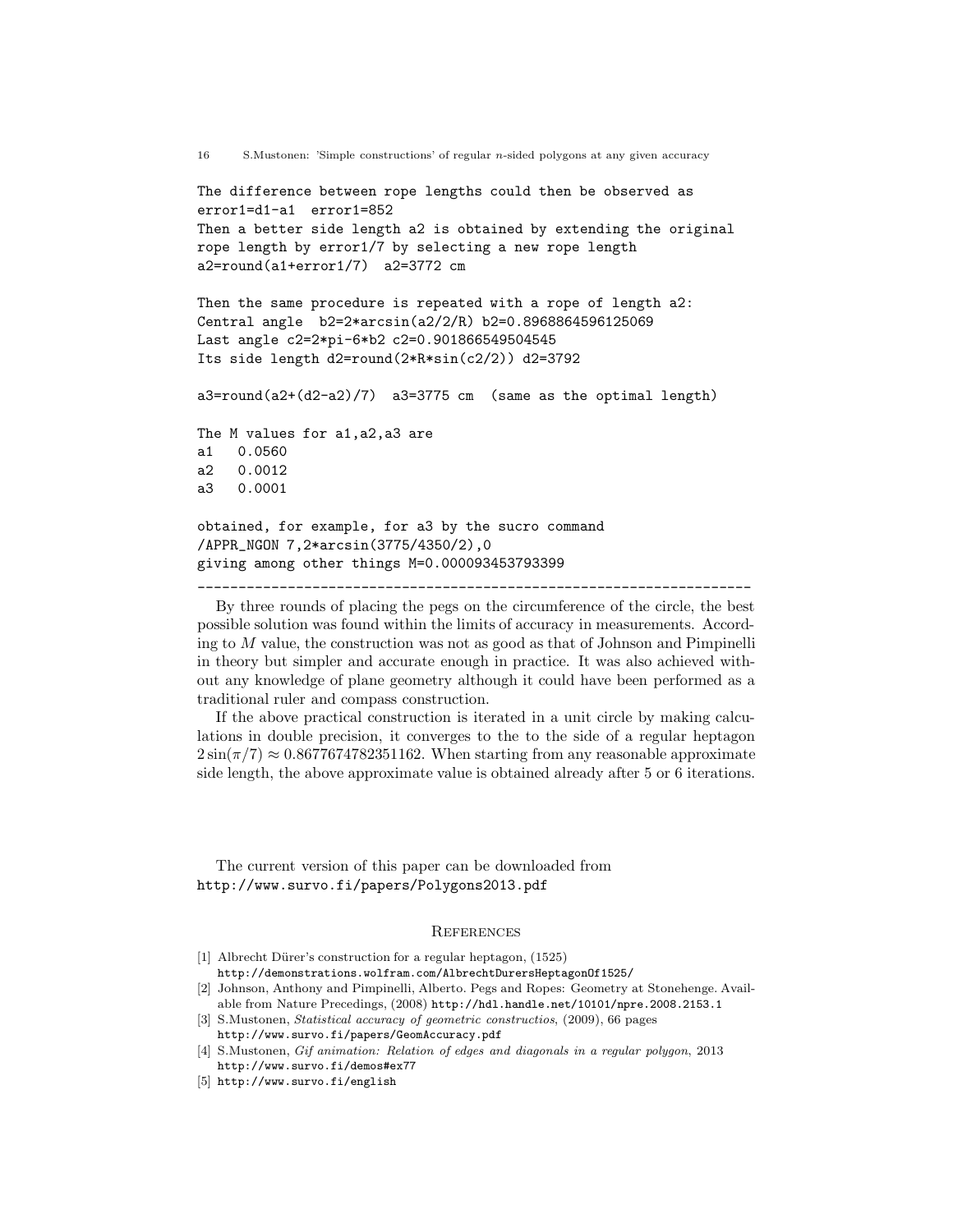```
16 S.Mustonen: 'Simple constructions' of regular n-sided polygons at any given accuracy
The difference between rope lengths could then be observed as
error1=d1-a1 error1=852
Then a better side length a2 is obtained by extending the original
rope length by error1/7 by selecting a new rope length
a2=round(a1+error1/7) a2=3772 cm
Then the same procedure is repeated with a rope of length a2:
Central angle b2=2*arcsin(a2/2/R) b2=0.8968864596125069
Last angle c2=2*pi-6*b2 c2=0.901866549504545
Its side length d2=round(2*R*sin(c2/2)) d2=3792
a3=round(a2+(d2-a2)/7) a3=3775 cm (same as the optimal length)
The M values for a1,a2,a3 are
a1 0.0560
a2 0.0012
a3 0.0001
obtained, for example, for a3 by the sucro command
/APPR_NGON 7,2*arcsin(3775/4350/2),0
giving among other things M=0.000093453793399
____________________________________________________________________
```
By three rounds of placing the pegs on the circumference of the circle, the best possible solution was found within the limits of accuracy in measurements. According to  $M$  value, the construction was not as good as that of Johnson and Pimpinelli in theory but simpler and accurate enough in practice. It was also achieved without any knowledge of plane geometry although it could have been performed as a traditional ruler and compass construction.

If the above practical construction is iterated in a unit circle by making calculations in double precision, it converges to the to the side of a regular heptagon  $2\sin(\pi/7) \approx 0.8677674782351162$ . When starting from any reasonable approximate side length, the above approximate value is obtained already after 5 or 6 iterations.

The current version of this paper can be downloaded from http://www.survo.fi/papers/Polygons2013.pdf

### **REFERENCES**

- [1] Albrecht Dürer's construction for a regular heptagon,  $(1525)$ http://demonstrations.wolfram.com/AlbrechtDurersHeptagonOf1525/
- [2] Johnson, Anthony and Pimpinelli, Alberto. Pegs and Ropes: Geometry at Stonehenge. Available from Nature Precedings, (2008) http://hdl.handle.net/10101/npre.2008.2153.1
- [3] S.Mustonen, Statistical accuracy of geometric constructios, (2009), 66 pages http://www.survo.fi/papers/GeomAccuracy.pdf
- [4] S.Mustonen, Gif animation: Relation of edges and diagonals in a regular polygon, 2013 http://www.survo.fi/demos#ex77
- [5] http://www.survo.fi/english